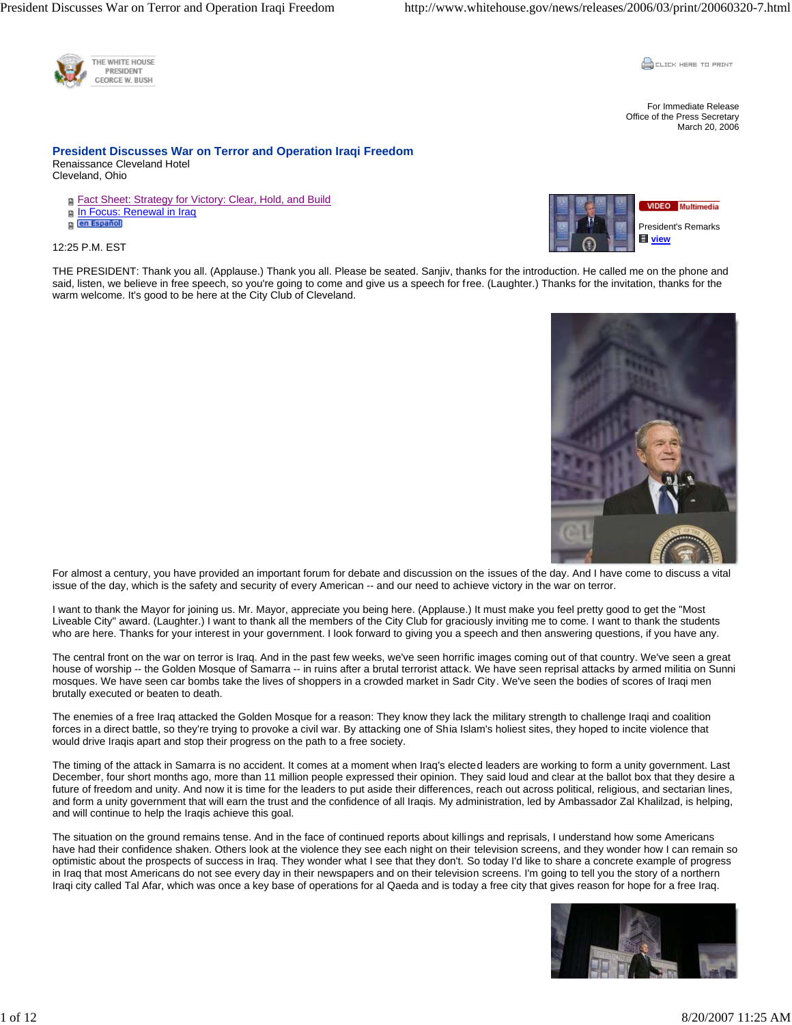

CLICK HERE TO PRINT

For Immediate Release Office of the Press Secretary March 20, 2006

President's Remarks

VIDEO Multimedia

**view**

## **President Discusses War on Terror and Operation Iraqi Freedom**  Renaissance Cleveland Hotel

Cleveland, Ohio

- **Fact Sheet: Strategy for Victory: Clear, Hold, and Build**
- **In Focus: Renewal in Iraq**
- en Español

12:25 P.M. EST





For almost a century, you have provided an important forum for debate and discussion on the issues of the day. And I have come to discuss a vital issue of the day, which is the safety and security of every American -- and our need to achieve victory in the war on terror.

I want to thank the Mayor for joining us. Mr. Mayor, appreciate you being here. (Applause.) It must make you feel pretty good to get the "Most Liveable City" award. (Laughter.) I want to thank all the members of the City Club for graciously inviting me to come. I want to thank the students who are here. Thanks for your interest in your government. I look forward to giving you a speech and then answering questions, if you have any.

The central front on the war on terror is Iraq. And in the past few weeks, we've seen horrific images coming out of that country. We've seen a great house of worship -- the Golden Mosque of Samarra -- in ruins after a brutal terrorist attack. We have seen reprisal attacks by armed militia on Sunni mosques. We have seen car bombs take the lives of shoppers in a crowded market in Sadr City. We've seen the bodies of scores of Iraqi men brutally executed or beaten to death.

The enemies of a free Iraq attacked the Golden Mosque for a reason: They know they lack the military strength to challenge Iraqi and coalition forces in a direct battle, so they're trying to provoke a civil war. By attacking one of Shia Islam's holiest sites, they hoped to incite violence that would drive Iraqis apart and stop their progress on the path to a free society.

The timing of the attack in Samarra is no accident. It comes at a moment when Iraq's elected leaders are working to form a unity government. Last December, four short months ago, more than 11 million people expressed their opinion. They said loud and clear at the ballot box that they desire a future of freedom and unity. And now it is time for the leaders to put aside their differences, reach out across political, religious, and sectarian lines, and form a unity government that will earn the trust and the confidence of all Iraqis. My administration, led by Ambassador Zal Khalilzad, is helping, and will continue to help the Iraqis achieve this goal.

The situation on the ground remains tense. And in the face of continued reports about killings and reprisals, I understand how some Americans have had their confidence shaken. Others look at the violence they see each night on their television screens, and they wonder how I can remain so optimistic about the prospects of success in Iraq. They wonder what I see that they don't. So today I'd like to share a concrete example of progress in Iraq that most Americans do not see every day in their newspapers and on their television screens. I'm going to tell you the story of a northern Iraqi city called Tal Afar, which was once a key base of operations for al Qaeda and is today a free city that gives reason for hope for a free Iraq.

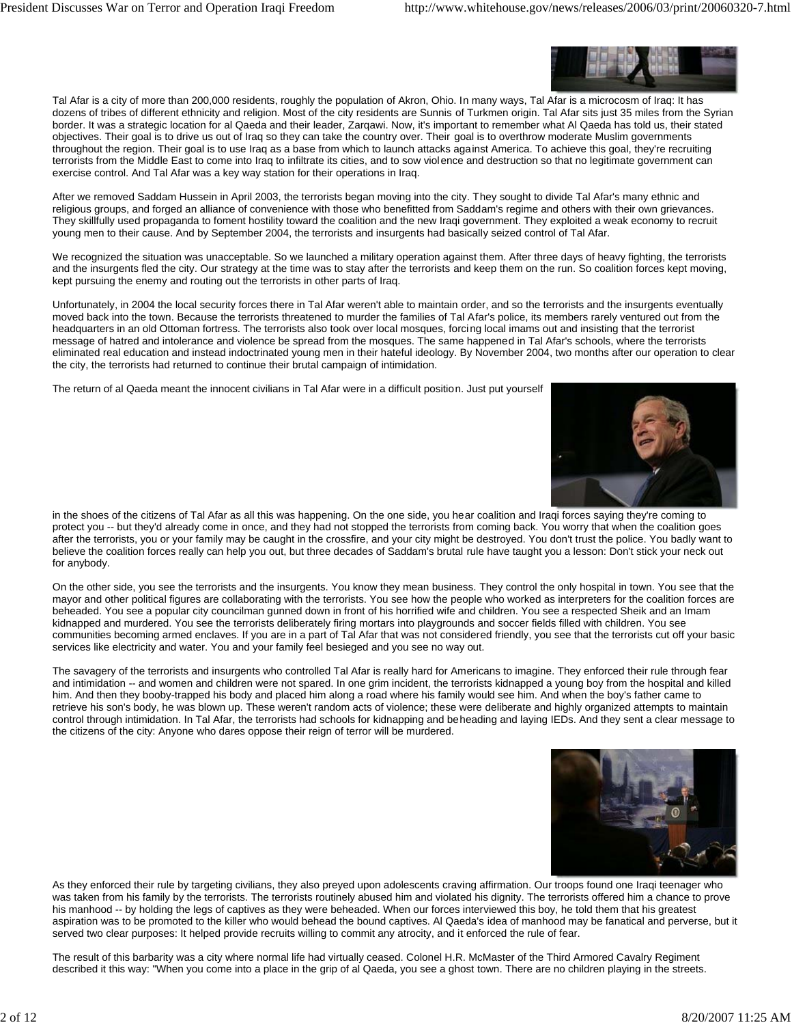

Tal Afar is a city of more than 200,000 residents, roughly the population of Akron, Ohio. In many ways, Tal Afar is a microcosm of Iraq: It has dozens of tribes of different ethnicity and religion. Most of the city residents are Sunnis of Turkmen origin. Tal Afar sits just 35 miles from the Syrian border. It was a strategic location for al Qaeda and their leader, Zarqawi. Now, it's important to remember what Al Qaeda has told us, their stated objectives. Their goal is to drive us out of Iraq so they can take the country over. Their goal is to overthrow moderate Muslim governments throughout the region. Their goal is to use Iraq as a base from which to launch attacks against America. To achieve this goal, they're recruiting terrorists from the Middle East to come into Iraq to infiltrate its cities, and to sow violence and destruction so that no legitimate government can exercise control. And Tal Afar was a key way station for their operations in Iraq.

After we removed Saddam Hussein in April 2003, the terrorists began moving into the city. They sought to divide Tal Afar's many ethnic and religious groups, and forged an alliance of convenience with those who benefitted from Saddam's regime and others with their own grievances. They skillfully used propaganda to foment hostility toward the coalition and the new Iraqi government. They exploited a weak economy to recruit young men to their cause. And by September 2004, the terrorists and insurgents had basically seized control of Tal Afar.

We recognized the situation was unacceptable. So we launched a military operation against them. After three days of heavy fighting, the terrorists and the insurgents fled the city. Our strategy at the time was to stay after the terrorists and keep them on the run. So coalition forces kept moving, kept pursuing the enemy and routing out the terrorists in other parts of Iraq.

Unfortunately, in 2004 the local security forces there in Tal Afar weren't able to maintain order, and so the terrorists and the insurgents eventually moved back into the town. Because the terrorists threatened to murder the families of Tal Afar's police, its members rarely ventured out from the headquarters in an old Ottoman fortress. The terrorists also took over local mosques, forcing local imams out and insisting that the terrorist message of hatred and intolerance and violence be spread from the mosques. The same happened in Tal Afar's schools, where the terrorists eliminated real education and instead indoctrinated young men in their hateful ideology. By November 2004, two months after our operation to clear the city, the terrorists had returned to continue their brutal campaign of intimidation.

The return of al Qaeda meant the innocent civilians in Tal Afar were in a difficult position. Just put yourself



in the shoes of the citizens of Tal Afar as all this was happening. On the one side, you hear coalition and Iraqi forces saying they're coming to protect you -- but they'd already come in once, and they had not stopped the terrorists from coming back. You worry that when the coalition goes after the terrorists, you or your family may be caught in the crossfire, and your city might be destroyed. You don't trust the police. You badly want to believe the coalition forces really can help you out, but three decades of Saddam's brutal rule have taught you a lesson: Don't stick your neck out for anybody.

On the other side, you see the terrorists and the insurgents. You know they mean business. They control the only hospital in town. You see that the mayor and other political figures are collaborating with the terrorists. You see how the people who worked as interpreters for the coalition forces are beheaded. You see a popular city councilman gunned down in front of his horrified wife and children. You see a respected Sheik and an Imam kidnapped and murdered. You see the terrorists deliberately firing mortars into playgrounds and soccer fields filled with children. You see communities becoming armed enclaves. If you are in a part of Tal Afar that was not considered friendly, you see that the terrorists cut off your basic services like electricity and water. You and your family feel besieged and you see no way out.

The savagery of the terrorists and insurgents who controlled Tal Afar is really hard for Americans to imagine. They enforced their rule through fear and intimidation -- and women and children were not spared. In one grim incident, the terrorists kidnapped a young boy from the hospital and killed him. And then they booby-trapped his body and placed him along a road where his family would see him. And when the boy's father came to retrieve his son's body, he was blown up. These weren't random acts of violence; these were deliberate and highly organized attempts to maintain control through intimidation. In Tal Afar, the terrorists had schools for kidnapping and beheading and laying IEDs. And they sent a clear message to the citizens of the city: Anyone who dares oppose their reign of terror will be murdered.



As they enforced their rule by targeting civilians, they also preyed upon adolescents craving affirmation. Our troops found one Iraqi teenager who was taken from his family by the terrorists. The terrorists routinely abused him and violated his dignity. The terrorists offered him a chance to prove his manhood -- by holding the legs of captives as they were beheaded. When our forces interviewed this boy, he told them that his greatest aspiration was to be promoted to the killer who would behead the bound captives. Al Qaeda's idea of manhood may be fanatical and perverse, but it served two clear purposes: It helped provide recruits willing to commit any atrocity, and it enforced the rule of fear.

The result of this barbarity was a city where normal life had virtually ceased. Colonel H.R. McMaster of the Third Armored Cavalry Regiment described it this way: "When you come into a place in the grip of al Qaeda, you see a ghost town. There are no children playing in the streets.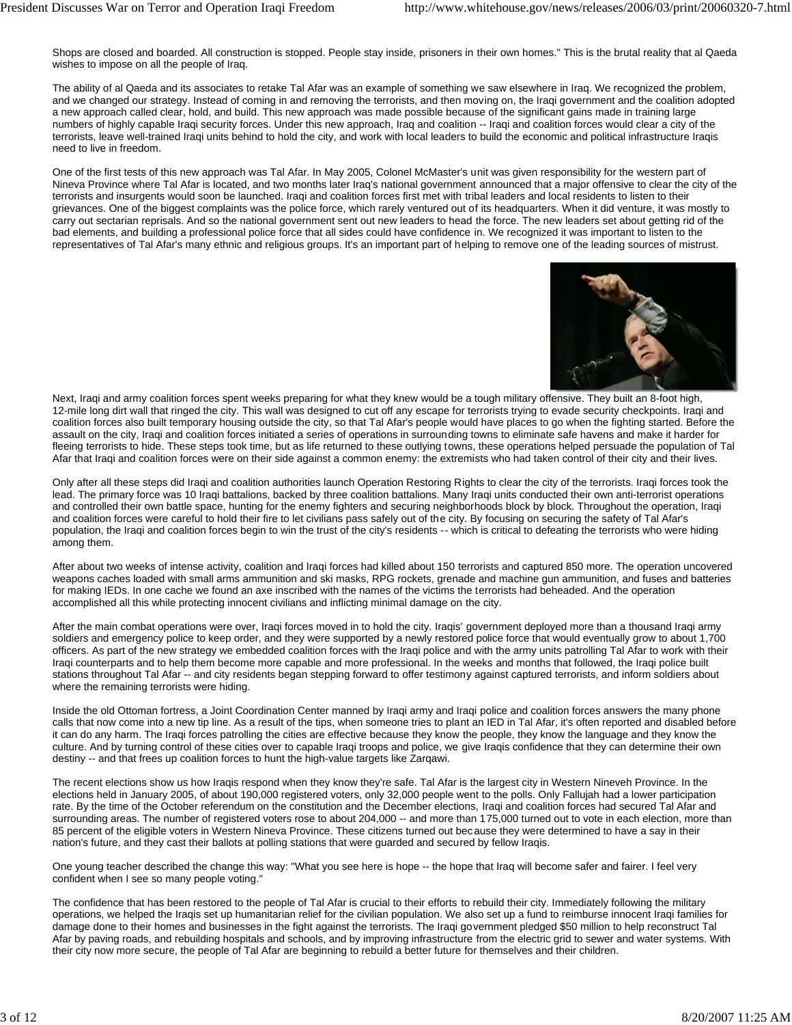Shops are closed and boarded. All construction is stopped. People stay inside, prisoners in their own homes." This is the brutal reality that al Qaeda wishes to impose on all the people of Iraq.

The ability of al Qaeda and its associates to retake Tal Afar was an example of something we saw elsewhere in Iraq. We recognized the problem, and we changed our strategy. Instead of coming in and removing the terrorists, and then moving on, the Iraqi government and the coalition adopted a new approach called clear, hold, and build. This new approach was made possible because of the significant gains made in training large numbers of highly capable Iraqi security forces. Under this new approach, Iraq and coalition -- Iraqi and coalition forces would clear a city of the terrorists, leave well-trained Iraqi units behind to hold the city, and work with local leaders to build the economic and political infrastructure Iraqis need to live in freedom.

One of the first tests of this new approach was Tal Afar. In May 2005, Colonel McMaster's unit was given responsibility for the western part of Nineva Province where Tal Afar is located, and two months later Iraq's national government announced that a major offensive to clear the city of the terrorists and insurgents would soon be launched. Iraqi and coalition forces first met with tribal leaders and local residents to listen to their grievances. One of the biggest complaints was the police force, which rarely ventured out of its headquarters. When it did venture, it was mostly to carry out sectarian reprisals. And so the national government sent out new leaders to head the force. The new leaders set about getting rid of the bad elements, and building a professional police force that all sides could have confidence in. We recognized it was important to listen to the representatives of Tal Afar's many ethnic and religious groups. It's an important part of helping to remove one of the leading sources of mistrust.



Next, Iraqi and army coalition forces spent weeks preparing for what they knew would be a tough military offensive. They built an 8-foot high, 12-mile long dirt wall that ringed the city. This wall was designed to cut off any escape for terrorists trying to evade security checkpoints. Iraqi and coalition forces also built temporary housing outside the city, so that Tal Afar's people would have places to go when the fighting started. Before the assault on the city, Iraqi and coalition forces initiated a series of operations in surrounding towns to eliminate safe havens and make it harder for fleeing terrorists to hide. These steps took time, but as life returned to these outlying towns, these operations helped persuade the population of Tal Afar that Iraqi and coalition forces were on their side against a common enemy: the extremists who had taken control of their city and their lives.

Only after all these steps did Iraqi and coalition authorities launch Operation Restoring Rights to clear the city of the terrorists. Iraqi forces took the lead. The primary force was 10 Iraqi battalions, backed by three coalition battalions. Many Iraqi units conducted their own anti-terrorist operations and controlled their own battle space, hunting for the enemy fighters and securing neighborhoods block by block. Throughout the operation, Iraqi and coalition forces were careful to hold their fire to let civilians pass safely out of the city. By focusing on securing the safety of Tal Afar's population, the Iraqi and coalition forces begin to win the trust of the city's residents -- which is critical to defeating the terrorists who were hiding among them.

After about two weeks of intense activity, coalition and Iraqi forces had killed about 150 terrorists and captured 850 more. The operation uncovered weapons caches loaded with small arms ammunition and ski masks, RPG rockets, grenade and machine gun ammunition, and fuses and batteries for making IEDs. In one cache we found an axe inscribed with the names of the victims the terrorists had beheaded. And the operation accomplished all this while protecting innocent civilians and inflicting minimal damage on the city.

After the main combat operations were over, Iraqi forces moved in to hold the city. Iraqis' government deployed more than a thousand Iraqi army soldiers and emergency police to keep order, and they were supported by a newly restored police force that would eventually grow to about 1,700 officers. As part of the new strategy we embedded coalition forces with the Iraqi police and with the army units patrolling Tal Afar to work with their Iraqi counterparts and to help them become more capable and more professional. In the weeks and months that followed, the Iraqi police built stations throughout Tal Afar -- and city residents began stepping forward to offer testimony against captured terrorists, and inform soldiers about where the remaining terrorists were hiding.

Inside the old Ottoman fortress, a Joint Coordination Center manned by Iraqi army and Iraqi police and coalition forces answers the many phone calls that now come into a new tip line. As a result of the tips, when someone tries to plant an IED in Tal Afar, it's often reported and disabled before it can do any harm. The Iraqi forces patrolling the cities are effective because they know the people, they know the language and they know the culture. And by turning control of these cities over to capable Iraqi troops and police, we give Iraqis confidence that they can determine their own destiny -- and that frees up coalition forces to hunt the high-value targets like Zarqawi.

The recent elections show us how Iraqis respond when they know they're safe. Tal Afar is the largest city in Western Nineveh Province. In the elections held in January 2005, of about 190,000 registered voters, only 32,000 people went to the polls. Only Fallujah had a lower participation rate. By the time of the October referendum on the constitution and the December elections, Iraqi and coalition forces had secured Tal Afar and surrounding areas. The number of registered voters rose to about 204,000 -- and more than 175,000 turned out to vote in each election, more than 85 percent of the eligible voters in Western Nineva Province. These citizens turned out because they were determined to have a say in their nation's future, and they cast their ballots at polling stations that were guarded and secured by fellow Iraqis.

One young teacher described the change this way: "What you see here is hope -- the hope that Iraq will become safer and fairer. I feel very confident when I see so many people voting."

The confidence that has been restored to the people of Tal Afar is crucial to their efforts to rebuild their city. Immediately following the military operations, we helped the Iraqis set up humanitarian relief for the civilian population. We also set up a fund to reimburse innocent Iraqi families for damage done to their homes and businesses in the fight against the terrorists. The Iraqi government pledged \$50 million to help reconstruct Tal Afar by paving roads, and rebuilding hospitals and schools, and by improving infrastructure from the electric grid to sewer and water systems. With their city now more secure, the people of Tal Afar are beginning to rebuild a better future for themselves and their children.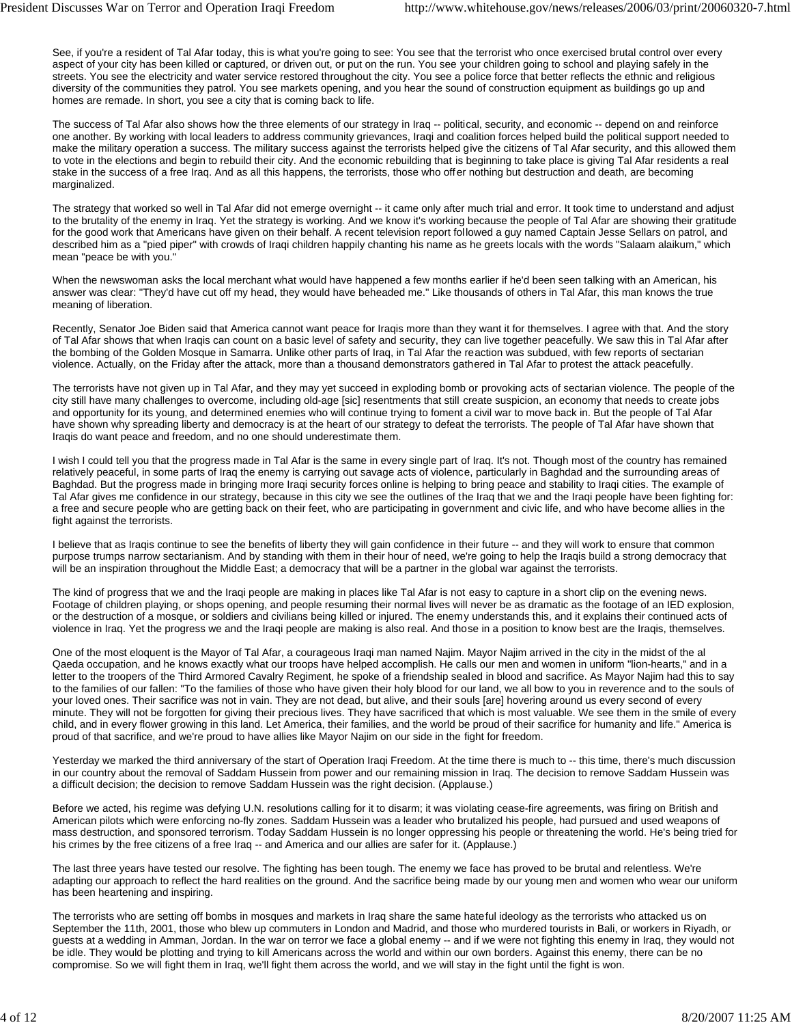See, if you're a resident of Tal Afar today, this is what you're going to see: You see that the terrorist who once exercised brutal control over every aspect of your city has been killed or captured, or driven out, or put on the run. You see your children going to school and playing safely in the streets. You see the electricity and water service restored throughout the city. You see a police force that better reflects the ethnic and religious diversity of the communities they patrol. You see markets opening, and you hear the sound of construction equipment as buildings go up and homes are remade. In short, you see a city that is coming back to life.

The success of Tal Afar also shows how the three elements of our strategy in Iraq -- political, security, and economic -- depend on and reinforce one another. By working with local leaders to address community grievances, Iraqi and coalition forces helped build the political support needed to make the military operation a success. The military success against the terrorists helped give the citizens of Tal Afar security, and this allowed them to vote in the elections and begin to rebuild their city. And the economic rebuilding that is beginning to take place is giving Tal Afar residents a real stake in the success of a free Iraq. And as all this happens, the terrorists, those who offer nothing but destruction and death, are becoming marginalized.

The strategy that worked so well in Tal Afar did not emerge overnight -- it came only after much trial and error. It took time to understand and adjust to the brutality of the enemy in Iraq. Yet the strategy is working. And we know it's working because the people of Tal Afar are showing their gratitude for the good work that Americans have given on their behalf. A recent television report followed a guy named Captain Jesse Sellars on patrol, and described him as a "pied piper" with crowds of Iraqi children happily chanting his name as he greets locals with the words "Salaam alaikum," which mean "peace be with you."

When the newswoman asks the local merchant what would have happened a few months earlier if he'd been seen talking with an American, his answer was clear: "They'd have cut off my head, they would have beheaded me." Like thousands of others in Tal Afar, this man knows the true meaning of liberation.

Recently, Senator Joe Biden said that America cannot want peace for Iraqis more than they want it for themselves. I agree with that. And the story of Tal Afar shows that when Iraqis can count on a basic level of safety and security, they can live together peacefully. We saw this in Tal Afar after the bombing of the Golden Mosque in Samarra. Unlike other parts of Iraq, in Tal Afar the reaction was subdued, with few reports of sectarian violence. Actually, on the Friday after the attack, more than a thousand demonstrators gathered in Tal Afar to protest the attack peacefully.

The terrorists have not given up in Tal Afar, and they may yet succeed in exploding bomb or provoking acts of sectarian violence. The people of the city still have many challenges to overcome, including old-age [sic] resentments that still create suspicion, an economy that needs to create jobs and opportunity for its young, and determined enemies who will continue trying to foment a civil war to move back in. But the people of Tal Afar have shown why spreading liberty and democracy is at the heart of our strategy to defeat the terrorists. The people of Tal Afar have shown that Iraqis do want peace and freedom, and no one should underestimate them.

I wish I could tell you that the progress made in Tal Afar is the same in every single part of Iraq. It's not. Though most of the country has remained relatively peaceful, in some parts of Iraq the enemy is carrying out savage acts of violence, particularly in Baghdad and the surrounding areas of Baghdad. But the progress made in bringing more Iraqi security forces online is helping to bring peace and stability to Iraqi cities. The example of Tal Afar gives me confidence in our strategy, because in this city we see the outlines of the Iraq that we and the Iraqi people have been fighting for: a free and secure people who are getting back on their feet, who are participating in government and civic life, and who have become allies in the fight against the terrorists.

I believe that as Iraqis continue to see the benefits of liberty they will gain confidence in their future -- and they will work to ensure that common purpose trumps narrow sectarianism. And by standing with them in their hour of need, we're going to help the Iraqis build a strong democracy that will be an inspiration throughout the Middle East; a democracy that will be a partner in the global war against the terrorists.

The kind of progress that we and the Iraqi people are making in places like Tal Afar is not easy to capture in a short clip on the evening news. Footage of children playing, or shops opening, and people resuming their normal lives will never be as dramatic as the footage of an IED explosion, or the destruction of a mosque, or soldiers and civilians being killed or injured. The enemy understands this, and it explains their continued acts of violence in Iraq. Yet the progress we and the Iraqi people are making is also real. And those in a position to know best are the Iraqis, themselves.

One of the most eloquent is the Mayor of Tal Afar, a courageous Iraqi man named Najim. Mayor Najim arrived in the city in the midst of the al Qaeda occupation, and he knows exactly what our troops have helped accomplish. He calls our men and women in uniform "lion-hearts," and in a letter to the troopers of the Third Armored Cavalry Regiment, he spoke of a friendship sealed in blood and sacrifice. As Mayor Najim had this to say to the families of our fallen: "To the families of those who have given their holy blood for our land, we all bow to you in reverence and to the souls of your loved ones. Their sacrifice was not in vain. They are not dead, but alive, and their souls [are] hovering around us every second of every minute. They will not be forgotten for giving their precious lives. They have sacrificed that which is most valuable. We see them in the smile of every child, and in every flower growing in this land. Let America, their families, and the world be proud of their sacrifice for humanity and life." America is proud of that sacrifice, and we're proud to have allies like Mayor Najim on our side in the fight for freedom.

Yesterday we marked the third anniversary of the start of Operation Iraqi Freedom. At the time there is much to -- this time, there's much discussion in our country about the removal of Saddam Hussein from power and our remaining mission in Iraq. The decision to remove Saddam Hussein was a difficult decision; the decision to remove Saddam Hussein was the right decision. (Applause.)

Before we acted, his regime was defying U.N. resolutions calling for it to disarm; it was violating cease-fire agreements, was firing on British and American pilots which were enforcing no-fly zones. Saddam Hussein was a leader who brutalized his people, had pursued and used weapons of mass destruction, and sponsored terrorism. Today Saddam Hussein is no longer oppressing his people or threatening the world. He's being tried for his crimes by the free citizens of a free Iraq -- and America and our allies are safer for it. (Applause.)

The last three years have tested our resolve. The fighting has been tough. The enemy we face has proved to be brutal and relentless. We're adapting our approach to reflect the hard realities on the ground. And the sacrifice being made by our young men and women who wear our uniform has been heartening and inspiring.

The terrorists who are setting off bombs in mosques and markets in Iraq share the same hateful ideology as the terrorists who attacked us on September the 11th, 2001, those who blew up commuters in London and Madrid, and those who murdered tourists in Bali, or workers in Riyadh, or guests at a wedding in Amman, Jordan. In the war on terror we face a global enemy -- and if we were not fighting this enemy in Iraq, they would not be idle. They would be plotting and trying to kill Americans across the world and within our own borders. Against this enemy, there can be no compromise. So we will fight them in Iraq, we'll fight them across the world, and we will stay in the fight until the fight is won.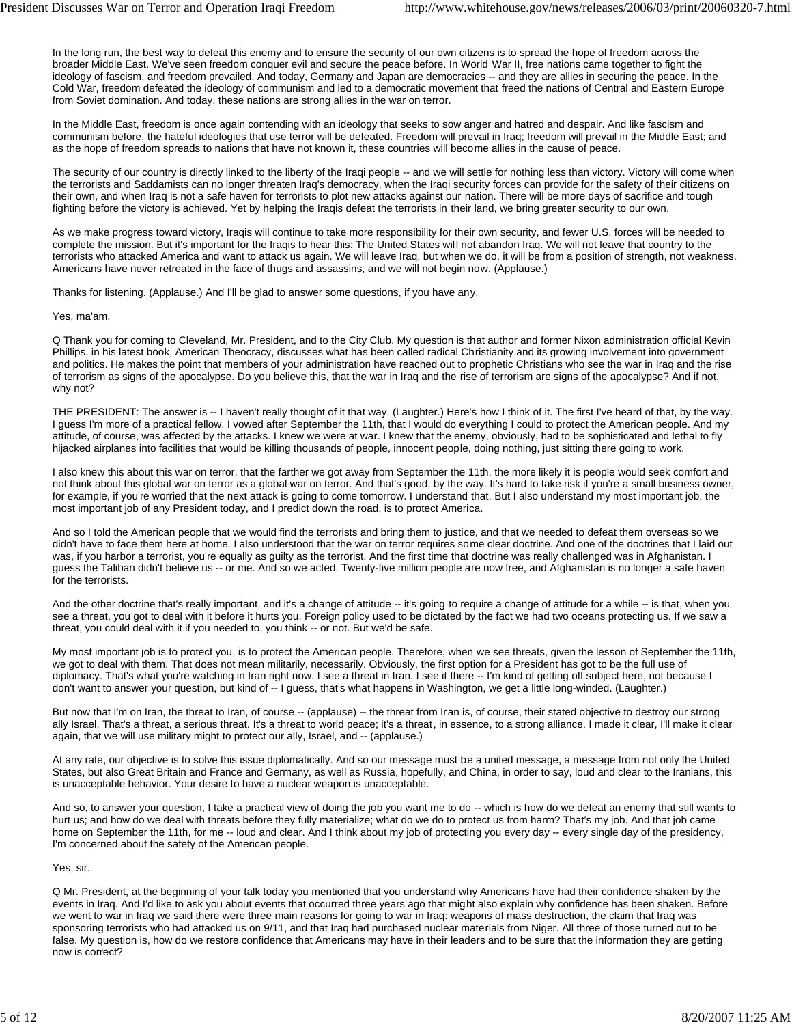In the long run, the best way to defeat this enemy and to ensure the security of our own citizens is to spread the hope of freedom across the broader Middle East. We've seen freedom conquer evil and secure the peace before. In World War II, free nations came together to fight the ideology of fascism, and freedom prevailed. And today, Germany and Japan are democracies -- and they are allies in securing the peace. In the Cold War, freedom defeated the ideology of communism and led to a democratic movement that freed the nations of Central and Eastern Europe from Soviet domination. And today, these nations are strong allies in the war on terror.

In the Middle East, freedom is once again contending with an ideology that seeks to sow anger and hatred and despair. And like fascism and communism before, the hateful ideologies that use terror will be defeated. Freedom will prevail in Iraq; freedom will prevail in the Middle East; and as the hope of freedom spreads to nations that have not known it, these countries will become allies in the cause of peace.

The security of our country is directly linked to the liberty of the Iraqi people -- and we will settle for nothing less than victory. Victory will come when the terrorists and Saddamists can no longer threaten Iraq's democracy, when the Iraqi security forces can provide for the safety of their citizens on their own, and when Iraq is not a safe haven for terrorists to plot new attacks against our nation. There will be more days of sacrifice and tough fighting before the victory is achieved. Yet by helping the Iraqis defeat the terrorists in their land, we bring greater security to our own.

As we make progress toward victory, Iraqis will continue to take more responsibility for their own security, and fewer U.S. forces will be needed to complete the mission. But it's important for the Iraqis to hear this: The United States will not abandon Iraq. We will not leave that country to the terrorists who attacked America and want to attack us again. We will leave Iraq, but when we do, it will be from a position of strength, not weakness. Americans have never retreated in the face of thugs and assassins, and we will not begin now. (Applause.)

Thanks for listening. (Applause.) And I'll be glad to answer some questions, if you have any.

Yes, ma'am.

Q Thank you for coming to Cleveland, Mr. President, and to the City Club. My question is that author and former Nixon administration official Kevin Phillips, in his latest book, American Theocracy, discusses what has been called radical Christianity and its growing involvement into government and politics. He makes the point that members of your administration have reached out to prophetic Christians who see the war in Iraq and the rise of terrorism as signs of the apocalypse. Do you believe this, that the war in Iraq and the rise of terrorism are signs of the apocalypse? And if not, why not?

THE PRESIDENT: The answer is -- I haven't really thought of it that way. (Laughter.) Here's how I think of it. The first I've heard of that, by the way. I guess I'm more of a practical fellow. I vowed after September the 11th, that I would do everything I could to protect the American people. And my attitude, of course, was affected by the attacks. I knew we were at war. I knew that the enemy, obviously, had to be sophisticated and lethal to fly hijacked airplanes into facilities that would be killing thousands of people, innocent people, doing nothing, just sitting there going to work.

I also knew this about this war on terror, that the farther we got away from September the 11th, the more likely it is people would seek comfort and not think about this global war on terror as a global war on terror. And that's good, by the way. It's hard to take risk if you're a small business owner, for example, if you're worried that the next attack is going to come tomorrow. I understand that. But I also understand my most important job, the most important job of any President today, and I predict down the road, is to protect America.

And so I told the American people that we would find the terrorists and bring them to justice, and that we needed to defeat them overseas so we didn't have to face them here at home. I also understood that the war on terror requires some clear doctrine. And one of the doctrines that I laid out was, if you harbor a terrorist, you're equally as guilty as the terrorist. And the first time that doctrine was really challenged was in Afghanistan. I guess the Taliban didn't believe us -- or me. And so we acted. Twenty-five million people are now free, and Afghanistan is no longer a safe haven for the terrorists.

And the other doctrine that's really important, and it's a change of attitude -- it's going to require a change of attitude for a while -- is that, when you see a threat, you got to deal with it before it hurts you. Foreign policy used to be dictated by the fact we had two oceans protecting us. If we saw a threat, you could deal with it if you needed to, you think -- or not. But we'd be safe.

My most important job is to protect you, is to protect the American people. Therefore, when we see threats, given the lesson of September the 11th, we got to deal with them. That does not mean militarily, necessarily. Obviously, the first option for a President has got to be the full use of diplomacy. That's what you're watching in Iran right now. I see a threat in Iran. I see it there -- I'm kind of getting off subject here, not because I don't want to answer your question, but kind of -- I guess, that's what happens in Washington, we get a little long-winded. (Laughter.)

But now that I'm on Iran, the threat to Iran, of course -- (applause) -- the threat from Iran is, of course, their stated objective to destroy our strong ally Israel. That's a threat, a serious threat. It's a threat to world peace; it's a threat, in essence, to a strong alliance. I made it clear, I'll make it clear again, that we will use military might to protect our ally, Israel, and -- (applause.)

At any rate, our objective is to solve this issue diplomatically. And so our message must be a united message, a message from not only the United States, but also Great Britain and France and Germany, as well as Russia, hopefully, and China, in order to say, loud and clear to the Iranians, this is unacceptable behavior. Your desire to have a nuclear weapon is unacceptable.

And so, to answer your question, I take a practical view of doing the job you want me to do -- which is how do we defeat an enemy that still wants to hurt us; and how do we deal with threats before they fully materialize; what do we do to protect us from harm? That's my job. And that job came home on September the 11th, for me -- loud and clear. And I think about my job of protecting you every day -- every single day of the presidency, I'm concerned about the safety of the American people.

Yes, sir.

Q Mr. President, at the beginning of your talk today you mentioned that you understand why Americans have had their confidence shaken by the events in Iraq. And I'd like to ask you about events that occurred three years ago that might also explain why confidence has been shaken. Before we went to war in Iraq we said there were three main reasons for going to war in Iraq: weapons of mass destruction, the claim that Iraq was sponsoring terrorists who had attacked us on 9/11, and that Iraq had purchased nuclear materials from Niger. All three of those turned out to be false. My question is, how do we restore confidence that Americans may have in their leaders and to be sure that the information they are getting now is correct?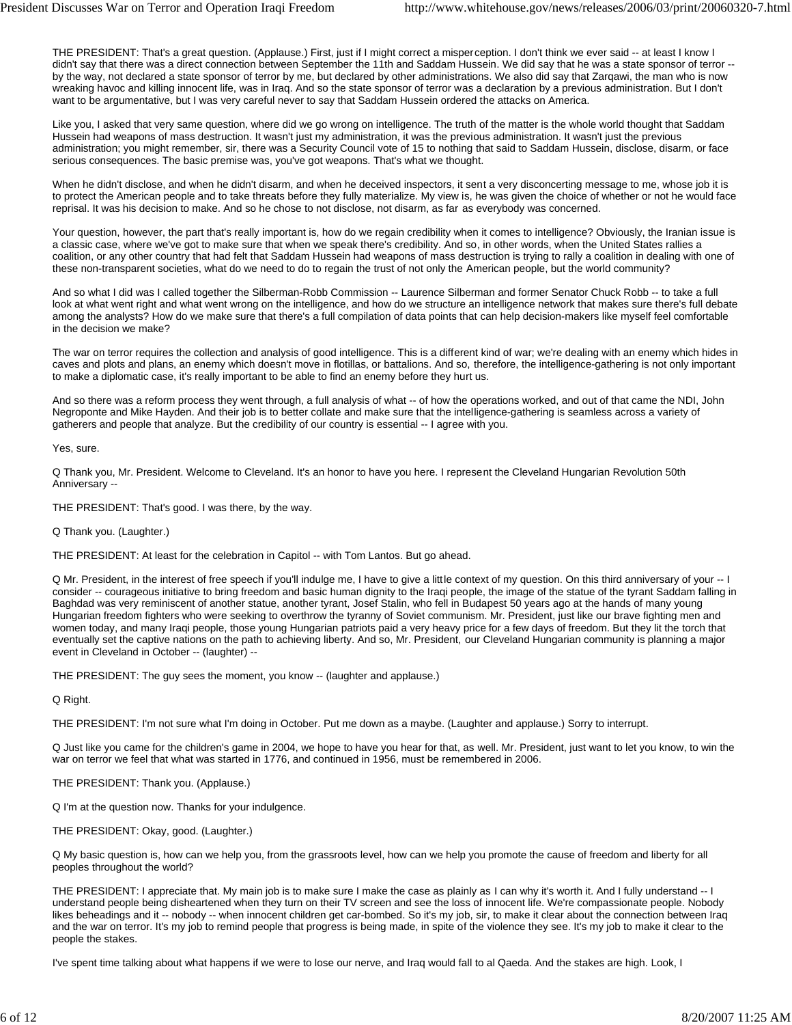THE PRESIDENT: That's a great question. (Applause.) First, just if I might correct a misperception. I don't think we ever said -- at least I know I didn't say that there was a direct connection between September the 11th and Saddam Hussein. We did say that he was a state sponsor of terror -by the way, not declared a state sponsor of terror by me, but declared by other administrations. We also did say that Zarqawi, the man who is now wreaking havoc and killing innocent life, was in Iraq. And so the state sponsor of terror was a declaration by a previous administration. But I don't want to be argumentative, but I was very careful never to say that Saddam Hussein ordered the attacks on America.

Like you, I asked that very same question, where did we go wrong on intelligence. The truth of the matter is the whole world thought that Saddam Hussein had weapons of mass destruction. It wasn't just my administration, it was the previous administration. It wasn't just the previous administration; you might remember, sir, there was a Security Council vote of 15 to nothing that said to Saddam Hussein, disclose, disarm, or face serious consequences. The basic premise was, you've got weapons. That's what we thought.

When he didn't disclose, and when he didn't disarm, and when he deceived inspectors, it sent a very disconcerting message to me, whose job it is to protect the American people and to take threats before they fully materialize. My view is, he was given the choice of whether or not he would face reprisal. It was his decision to make. And so he chose to not disclose, not disarm, as far as everybody was concerned.

Your question, however, the part that's really important is, how do we regain credibility when it comes to intelligence? Obviously, the Iranian issue is a classic case, where we've got to make sure that when we speak there's credibility. And so, in other words, when the United States rallies a coalition, or any other country that had felt that Saddam Hussein had weapons of mass destruction is trying to rally a coalition in dealing with one of these non-transparent societies, what do we need to do to regain the trust of not only the American people, but the world community?

And so what I did was I called together the Silberman-Robb Commission -- Laurence Silberman and former Senator Chuck Robb -- to take a full look at what went right and what went wrong on the intelligence, and how do we structure an intelligence network that makes sure there's full debate among the analysts? How do we make sure that there's a full compilation of data points that can help decision-makers like myself feel comfortable in the decision we make?

The war on terror requires the collection and analysis of good intelligence. This is a different kind of war; we're dealing with an enemy which hides in caves and plots and plans, an enemy which doesn't move in flotillas, or battalions. And so, therefore, the intelligence-gathering is not only important to make a diplomatic case, it's really important to be able to find an enemy before they hurt us.

And so there was a reform process they went through, a full analysis of what -- of how the operations worked, and out of that came the NDI, John Negroponte and Mike Hayden. And their job is to better collate and make sure that the intelligence-gathering is seamless across a variety of gatherers and people that analyze. But the credibility of our country is essential -- I agree with you.

Yes, sure.

Q Thank you, Mr. President. Welcome to Cleveland. It's an honor to have you here. I represent the Cleveland Hungarian Revolution 50th Anniversary --

THE PRESIDENT: That's good. I was there, by the way.

Q Thank you. (Laughter.)

THE PRESIDENT: At least for the celebration in Capitol -- with Tom Lantos. But go ahead.

Q Mr. President, in the interest of free speech if you'll indulge me, I have to give a little context of my question. On this third anniversary of your -- I consider -- courageous initiative to bring freedom and basic human dignity to the Iraqi people, the image of the statue of the tyrant Saddam falling in Baghdad was very reminiscent of another statue, another tyrant, Josef Stalin, who fell in Budapest 50 years ago at the hands of many young Hungarian freedom fighters who were seeking to overthrow the tyranny of Soviet communism. Mr. President, just like our brave fighting men and women today, and many Iraqi people, those young Hungarian patriots paid a very heavy price for a few days of freedom. But they lit the torch that eventually set the captive nations on the path to achieving liberty. And so, Mr. President, our Cleveland Hungarian community is planning a major event in Cleveland in October -- (laughter) --

THE PRESIDENT: The guy sees the moment, you know -- (laughter and applause.)

Q Right.

THE PRESIDENT: I'm not sure what I'm doing in October. Put me down as a maybe. (Laughter and applause.) Sorry to interrupt.

Q Just like you came for the children's game in 2004, we hope to have you hear for that, as well. Mr. President, just want to let you know, to win the war on terror we feel that what was started in 1776, and continued in 1956, must be remembered in 2006.

THE PRESIDENT: Thank you. (Applause.)

Q I'm at the question now. Thanks for your indulgence.

THE PRESIDENT: Okay, good. (Laughter.)

Q My basic question is, how can we help you, from the grassroots level, how can we help you promote the cause of freedom and liberty for all peoples throughout the world?

THE PRESIDENT: I appreciate that. My main job is to make sure I make the case as plainly as I can why it's worth it. And I fully understand -- I understand people being disheartened when they turn on their TV screen and see the loss of innocent life. We're compassionate people. Nobody likes beheadings and it -- nobody -- when innocent children get car-bombed. So it's my job, sir, to make it clear about the connection between Iraq and the war on terror. It's my job to remind people that progress is being made, in spite of the violence they see. It's my job to make it clear to the people the stakes.

I've spent time talking about what happens if we were to lose our nerve, and Iraq would fall to al Qaeda. And the stakes are high. Look, I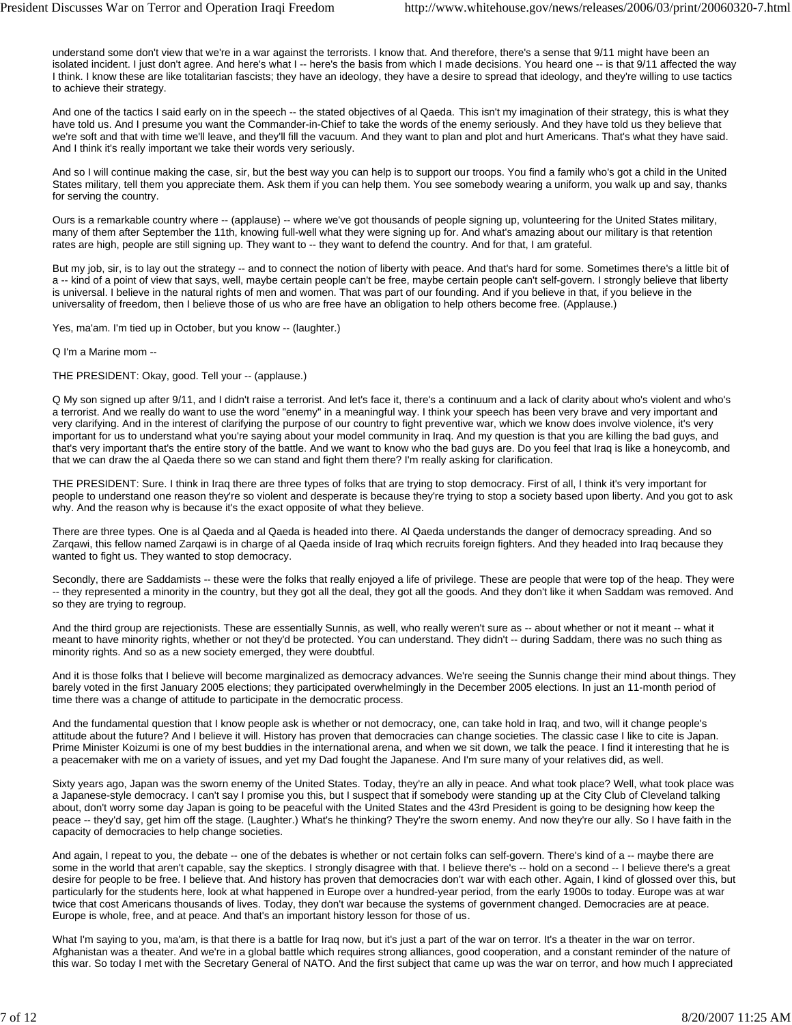understand some don't view that we're in a war against the terrorists. I know that. And therefore, there's a sense that 9/11 might have been an isolated incident. I just don't agree. And here's what I -- here's the basis from which I made decisions. You heard one -- is that 9/11 affected the way I think. I know these are like totalitarian fascists; they have an ideology, they have a desire to spread that ideology, and they're willing to use tactics to achieve their strategy.

And one of the tactics I said early on in the speech -- the stated objectives of al Qaeda. This isn't my imagination of their strategy, this is what they have told us. And I presume you want the Commander-in-Chief to take the words of the enemy seriously. And they have told us they believe that we're soft and that with time we'll leave, and they'll fill the vacuum. And they want to plan and plot and hurt Americans. That's what they have said. And I think it's really important we take their words very seriously.

And so I will continue making the case, sir, but the best way you can help is to support our troops. You find a family who's got a child in the United States military, tell them you appreciate them. Ask them if you can help them. You see somebody wearing a uniform, you walk up and say, thanks for serving the country.

Ours is a remarkable country where -- (applause) -- where we've got thousands of people signing up, volunteering for the United States military, many of them after September the 11th, knowing full-well what they were signing up for. And what's amazing about our military is that retention rates are high, people are still signing up. They want to -- they want to defend the country. And for that, I am grateful.

But my job, sir, is to lay out the strategy -- and to connect the notion of liberty with peace. And that's hard for some. Sometimes there's a little bit of a -- kind of a point of view that says, well, maybe certain people can't be free, maybe certain people can't self-govern. I strongly believe that liberty is universal. I believe in the natural rights of men and women. That was part of our founding. And if you believe in that, if you believe in the universality of freedom, then I believe those of us who are free have an obligation to help others become free. (Applause.)

Yes, ma'am. I'm tied up in October, but you know -- (laughter.)

Q I'm a Marine mom --

THE PRESIDENT: Okay, good. Tell your -- (applause.)

Q My son signed up after 9/11, and I didn't raise a terrorist. And let's face it, there's a continuum and a lack of clarity about who's violent and who's a terrorist. And we really do want to use the word "enemy" in a meaningful way. I think your speech has been very brave and very important and very clarifying. And in the interest of clarifying the purpose of our country to fight preventive war, which we know does involve violence, it's very important for us to understand what you're saying about your model community in Iraq. And my question is that you are killing the bad guys, and that's very important that's the entire story of the battle. And we want to know who the bad guys are. Do you feel that Iraq is like a honeycomb, and that we can draw the al Qaeda there so we can stand and fight them there? I'm really asking for clarification.

THE PRESIDENT: Sure. I think in Iraq there are three types of folks that are trying to stop democracy. First of all, I think it's very important for people to understand one reason they're so violent and desperate is because they're trying to stop a society based upon liberty. And you got to ask why. And the reason why is because it's the exact opposite of what they believe.

There are three types. One is al Qaeda and al Qaeda is headed into there. Al Qaeda understands the danger of democracy spreading. And so Zarqawi, this fellow named Zarqawi is in charge of al Qaeda inside of Iraq which recruits foreign fighters. And they headed into Iraq because they wanted to fight us. They wanted to stop democracy.

Secondly, there are Saddamists -- these were the folks that really enjoyed a life of privilege. These are people that were top of the heap. They were -- they represented a minority in the country, but they got all the deal, they got all the goods. And they don't like it when Saddam was removed. And so they are trying to regroup.

And the third group are rejectionists. These are essentially Sunnis, as well, who really weren't sure as -- about whether or not it meant -- what it meant to have minority rights, whether or not they'd be protected. You can understand. They didn't -- during Saddam, there was no such thing as minority rights. And so as a new society emerged, they were doubtful.

And it is those folks that I believe will become marginalized as democracy advances. We're seeing the Sunnis change their mind about things. They barely voted in the first January 2005 elections; they participated overwhelmingly in the December 2005 elections. In just an 11-month period of time there was a change of attitude to participate in the democratic process.

And the fundamental question that I know people ask is whether or not democracy, one, can take hold in Iraq, and two, will it change people's attitude about the future? And I believe it will. History has proven that democracies can change societies. The classic case I like to cite is Japan. Prime Minister Koizumi is one of my best buddies in the international arena, and when we sit down, we talk the peace. I find it interesting that he is a peacemaker with me on a variety of issues, and yet my Dad fought the Japanese. And I'm sure many of your relatives did, as well.

Sixty years ago, Japan was the sworn enemy of the United States. Today, they're an ally in peace. And what took place? Well, what took place was a Japanese-style democracy. I can't say I promise you this, but I suspect that if somebody were standing up at the City Club of Cleveland talking about, don't worry some day Japan is going to be peaceful with the United States and the 43rd President is going to be designing how keep the peace -- they'd say, get him off the stage. (Laughter.) What's he thinking? They're the sworn enemy. And now they're our ally. So I have faith in the capacity of democracies to help change societies.

And again, I repeat to you, the debate -- one of the debates is whether or not certain folks can self-govern. There's kind of a -- maybe there are some in the world that aren't capable, say the skeptics. I strongly disagree with that. I believe there's -- hold on a second -- I believe there's a great desire for people to be free. I believe that. And history has proven that democracies don't war with each other. Again, I kind of glossed over this, but particularly for the students here, look at what happened in Europe over a hundred-year period, from the early 1900s to today. Europe was at war twice that cost Americans thousands of lives. Today, they don't war because the systems of government changed. Democracies are at peace. Europe is whole, free, and at peace. And that's an important history lesson for those of us.

What I'm saying to you, ma'am, is that there is a battle for Iraq now, but it's just a part of the war on terror. It's a theater in the war on terror. Afghanistan was a theater. And we're in a global battle which requires strong alliances, good cooperation, and a constant reminder of the nature of this war. So today I met with the Secretary General of NATO. And the first subject that came up was the war on terror, and how much I appreciated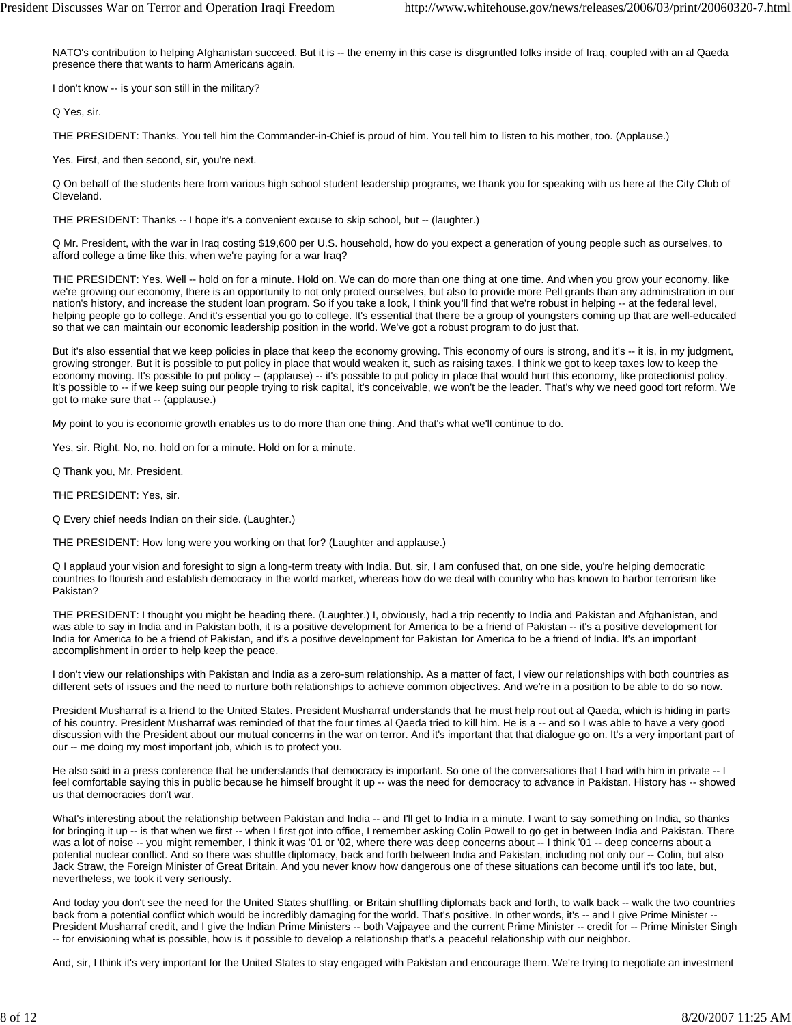NATO's contribution to helping Afghanistan succeed. But it is -- the enemy in this case is disgruntled folks inside of Iraq, coupled with an al Qaeda presence there that wants to harm Americans again.

I don't know -- is your son still in the military?

Q Yes, sir.

THE PRESIDENT: Thanks. You tell him the Commander-in-Chief is proud of him. You tell him to listen to his mother, too. (Applause.)

Yes. First, and then second, sir, you're next.

Q On behalf of the students here from various high school student leadership programs, we thank you for speaking with us here at the City Club of Cleveland.

THE PRESIDENT: Thanks -- I hope it's a convenient excuse to skip school, but -- (laughter.)

Q Mr. President, with the war in Iraq costing \$19,600 per U.S. household, how do you expect a generation of young people such as ourselves, to afford college a time like this, when we're paying for a war Iraq?

THE PRESIDENT: Yes. Well -- hold on for a minute. Hold on. We can do more than one thing at one time. And when you grow your economy, like we're growing our economy, there is an opportunity to not only protect ourselves, but also to provide more Pell grants than any administration in our nation's history, and increase the student loan program. So if you take a look, I think you'll find that we're robust in helping -- at the federal level, helping people go to college. And it's essential you go to college. It's essential that there be a group of youngsters coming up that are well-educated so that we can maintain our economic leadership position in the world. We've got a robust program to do just that.

But it's also essential that we keep policies in place that keep the economy growing. This economy of ours is strong, and it's -- it is, in my judgment, growing stronger. But it is possible to put policy in place that would weaken it, such as raising taxes. I think we got to keep taxes low to keep the economy moving. It's possible to put policy -- (applause) -- it's possible to put policy in place that would hurt this economy, like protectionist policy. It's possible to -- if we keep suing our people trying to risk capital, it's conceivable, we won't be the leader. That's why we need good tort reform. We got to make sure that -- (applause.)

My point to you is economic growth enables us to do more than one thing. And that's what we'll continue to do.

Yes, sir. Right. No, no, hold on for a minute. Hold on for a minute.

Q Thank you, Mr. President.

THE PRESIDENT: Yes, sir.

Q Every chief needs Indian on their side. (Laughter.)

THE PRESIDENT: How long were you working on that for? (Laughter and applause.)

Q I applaud your vision and foresight to sign a long-term treaty with India. But, sir, I am confused that, on one side, you're helping democratic countries to flourish and establish democracy in the world market, whereas how do we deal with country who has known to harbor terrorism like Pakistan?

THE PRESIDENT: I thought you might be heading there. (Laughter.) I, obviously, had a trip recently to India and Pakistan and Afghanistan, and was able to say in India and in Pakistan both, it is a positive development for America to be a friend of Pakistan -- it's a positive development for India for America to be a friend of Pakistan, and it's a positive development for Pakistan for America to be a friend of India. It's an important accomplishment in order to help keep the peace.

I don't view our relationships with Pakistan and India as a zero-sum relationship. As a matter of fact, I view our relationships with both countries as different sets of issues and the need to nurture both relationships to achieve common objectives. And we're in a position to be able to do so now.

President Musharraf is a friend to the United States. President Musharraf understands that he must help rout out al Qaeda, which is hiding in parts of his country. President Musharraf was reminded of that the four times al Qaeda tried to kill him. He is a -- and so I was able to have a very good discussion with the President about our mutual concerns in the war on terror. And it's important that that dialogue go on. It's a very important part of our -- me doing my most important job, which is to protect you.

He also said in a press conference that he understands that democracy is important. So one of the conversations that I had with him in private -- I feel comfortable saying this in public because he himself brought it up -- was the need for democracy to advance in Pakistan. History has -- showed us that democracies don't war.

What's interesting about the relationship between Pakistan and India -- and I'll get to India in a minute, I want to say something on India, so thanks for bringing it up -- is that when we first -- when I first got into office, I remember asking Colin Powell to go get in between India and Pakistan. There was a lot of noise -- you might remember, I think it was '01 or '02, where there was deep concerns about -- I think '01 -- deep concerns about a potential nuclear conflict. And so there was shuttle diplomacy, back and forth between India and Pakistan, including not only our -- Colin, but also Jack Straw, the Foreign Minister of Great Britain. And you never know how dangerous one of these situations can become until it's too late, but, nevertheless, we took it very seriously.

And today you don't see the need for the United States shuffling, or Britain shuffling diplomats back and forth, to walk back -- walk the two countries back from a potential conflict which would be incredibly damaging for the world. That's positive. In other words, it's -- and I give Prime Minister -President Musharraf credit, and I give the Indian Prime Ministers -- both Vajpayee and the current Prime Minister -- credit for -- Prime Minister Singh -- for envisioning what is possible, how is it possible to develop a relationship that's a peaceful relationship with our neighbor.

And, sir, I think it's very important for the United States to stay engaged with Pakistan and encourage them. We're trying to negotiate an investment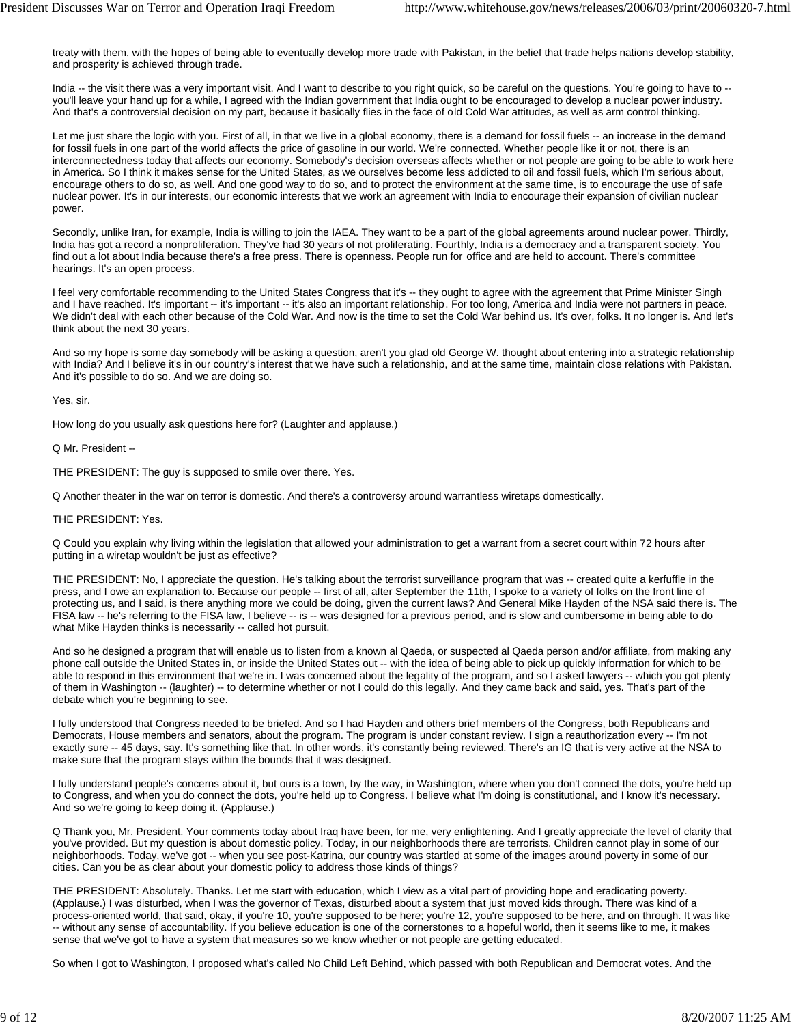treaty with them, with the hopes of being able to eventually develop more trade with Pakistan, in the belief that trade helps nations develop stability, and prosperity is achieved through trade.

India -- the visit there was a very important visit. And I want to describe to you right quick, so be careful on the questions. You're going to have to -you'll leave your hand up for a while, I agreed with the Indian government that India ought to be encouraged to develop a nuclear power industry. And that's a controversial decision on my part, because it basically flies in the face of old Cold War attitudes, as well as arm control thinking.

Let me just share the logic with you. First of all, in that we live in a global economy, there is a demand for fossil fuels -- an increase in the demand for fossil fuels in one part of the world affects the price of gasoline in our world. We're connected. Whether people like it or not, there is an interconnectedness today that affects our economy. Somebody's decision overseas affects whether or not people are going to be able to work here in America. So I think it makes sense for the United States, as we ourselves become less addicted to oil and fossil fuels, which I'm serious about, encourage others to do so, as well. And one good way to do so, and to protect the environment at the same time, is to encourage the use of safe nuclear power. It's in our interests, our economic interests that we work an agreement with India to encourage their expansion of civilian nuclear power.

Secondly, unlike Iran, for example, India is willing to join the IAEA. They want to be a part of the global agreements around nuclear power. Thirdly, India has got a record a nonproliferation. They've had 30 years of not proliferating. Fourthly, India is a democracy and a transparent society. You find out a lot about India because there's a free press. There is openness. People run for office and are held to account. There's committee hearings. It's an open process.

I feel very comfortable recommending to the United States Congress that it's -- they ought to agree with the agreement that Prime Minister Singh and I have reached. It's important -- it's important -- it's also an important relationship. For too long, America and India were not partners in peace. We didn't deal with each other because of the Cold War. And now is the time to set the Cold War behind us. It's over, folks. It no longer is. And let's think about the next 30 years.

And so my hope is some day somebody will be asking a question, aren't you glad old George W. thought about entering into a strategic relationship with India? And I believe it's in our country's interest that we have such a relationship, and at the same time, maintain close relations with Pakistan. And it's possible to do so. And we are doing so.

Yes, sir.

How long do you usually ask questions here for? (Laughter and applause.)

Q Mr. President --

THE PRESIDENT: The guy is supposed to smile over there. Yes.

Q Another theater in the war on terror is domestic. And there's a controversy around warrantless wiretaps domestically.

## THE PRESIDENT: Yes.

Q Could you explain why living within the legislation that allowed your administration to get a warrant from a secret court within 72 hours after putting in a wiretap wouldn't be just as effective?

THE PRESIDENT: No, I appreciate the question. He's talking about the terrorist surveillance program that was -- created quite a kerfuffle in the press, and I owe an explanation to. Because our people -- first of all, after September the 11th, I spoke to a variety of folks on the front line of protecting us, and I said, is there anything more we could be doing, given the current laws? And General Mike Hayden of the NSA said there is. The FISA law -- he's referring to the FISA law, I believe -- is -- was designed for a previous period, and is slow and cumbersome in being able to do what Mike Hayden thinks is necessarily -- called hot pursuit.

And so he designed a program that will enable us to listen from a known al Qaeda, or suspected al Qaeda person and/or affiliate, from making any phone call outside the United States in, or inside the United States out -- with the idea of being able to pick up quickly information for which to be able to respond in this environment that we're in. I was concerned about the legality of the program, and so I asked lawyers -- which you got plenty of them in Washington -- (laughter) -- to determine whether or not I could do this legally. And they came back and said, yes. That's part of the debate which you're beginning to see.

I fully understood that Congress needed to be briefed. And so I had Hayden and others brief members of the Congress, both Republicans and Democrats, House members and senators, about the program. The program is under constant review. I sign a reauthorization every -- I'm not exactly sure -- 45 days, say. It's something like that. In other words, it's constantly being reviewed. There's an IG that is very active at the NSA to make sure that the program stays within the bounds that it was designed.

I fully understand people's concerns about it, but ours is a town, by the way, in Washington, where when you don't connect the dots, you're held up to Congress, and when you do connect the dots, you're held up to Congress. I believe what I'm doing is constitutional, and I know it's necessary. And so we're going to keep doing it. (Applause.)

Q Thank you, Mr. President. Your comments today about Iraq have been, for me, very enlightening. And I greatly appreciate the level of clarity that you've provided. But my question is about domestic policy. Today, in our neighborhoods there are terrorists. Children cannot play in some of our neighborhoods. Today, we've got -- when you see post-Katrina, our country was startled at some of the images around poverty in some of our cities. Can you be as clear about your domestic policy to address those kinds of things?

THE PRESIDENT: Absolutely. Thanks. Let me start with education, which I view as a vital part of providing hope and eradicating poverty. (Applause.) I was disturbed, when I was the governor of Texas, disturbed about a system that just moved kids through. There was kind of a process-oriented world, that said, okay, if you're 10, you're supposed to be here; you're 12, you're supposed to be here, and on through. It was like -- without any sense of accountability. If you believe education is one of the cornerstones to a hopeful world, then it seems like to me, it makes sense that we've got to have a system that measures so we know whether or not people are getting educated.

So when I got to Washington, I proposed what's called No Child Left Behind, which passed with both Republican and Democrat votes. And the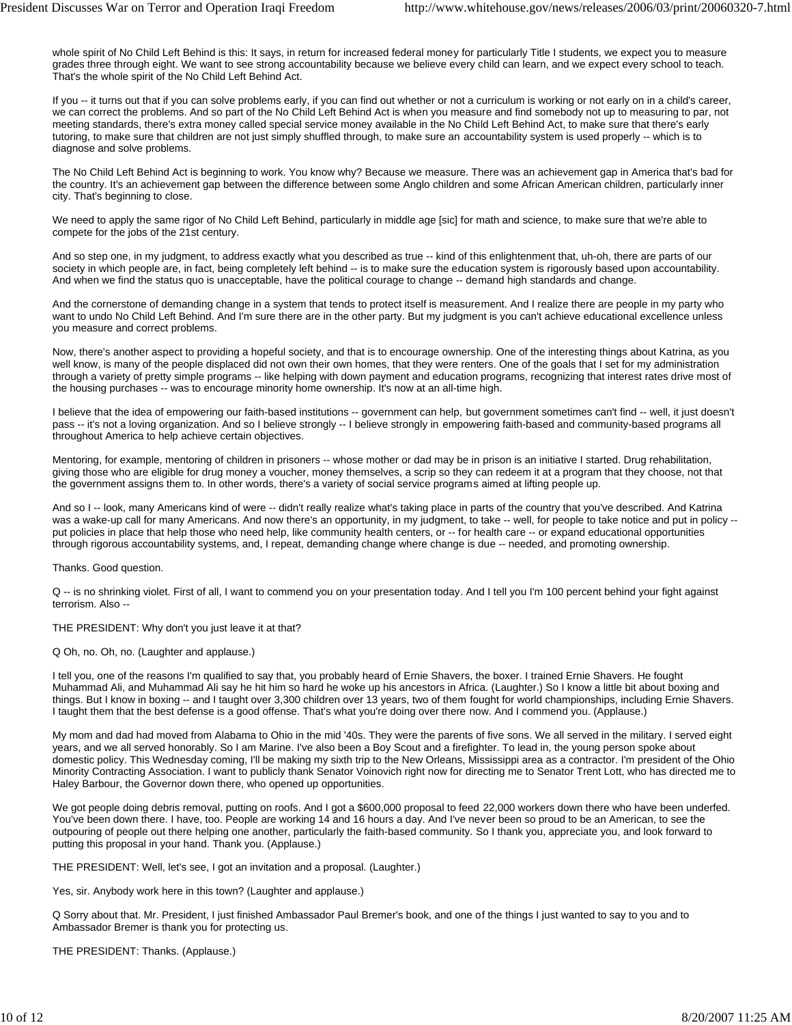whole spirit of No Child Left Behind is this: It says, in return for increased federal money for particularly Title I students, we expect you to measure grades three through eight. We want to see strong accountability because we believe every child can learn, and we expect every school to teach. That's the whole spirit of the No Child Left Behind Act.

If you -- it turns out that if you can solve problems early, if you can find out whether or not a curriculum is working or not early on in a child's career, we can correct the problems. And so part of the No Child Left Behind Act is when you measure and find somebody not up to measuring to par, not meeting standards, there's extra money called special service money available in the No Child Left Behind Act, to make sure that there's early tutoring, to make sure that children are not just simply shuffled through, to make sure an accountability system is used properly -- which is to diagnose and solve problems.

The No Child Left Behind Act is beginning to work. You know why? Because we measure. There was an achievement gap in America that's bad for the country. It's an achievement gap between the difference between some Anglo children and some African American children, particularly inner city. That's beginning to close.

We need to apply the same rigor of No Child Left Behind, particularly in middle age [sic] for math and science, to make sure that we're able to compete for the jobs of the 21st century.

And so step one, in my judgment, to address exactly what you described as true -- kind of this enlightenment that, uh-oh, there are parts of our society in which people are, in fact, being completely left behind -- is to make sure the education system is rigorously based upon accountability. And when we find the status quo is unacceptable, have the political courage to change -- demand high standards and change.

And the cornerstone of demanding change in a system that tends to protect itself is measurement. And I realize there are people in my party who want to undo No Child Left Behind. And I'm sure there are in the other party. But my judgment is you can't achieve educational excellence unless you measure and correct problems.

Now, there's another aspect to providing a hopeful society, and that is to encourage ownership. One of the interesting things about Katrina, as you well know, is many of the people displaced did not own their own homes, that they were renters. One of the goals that I set for my administration through a variety of pretty simple programs -- like helping with down payment and education programs, recognizing that interest rates drive most of the housing purchases -- was to encourage minority home ownership. It's now at an all-time high.

I believe that the idea of empowering our faith-based institutions -- government can help, but government sometimes can't find -- well, it just doesn't pass -- it's not a loving organization. And so I believe strongly -- I believe strongly in empowering faith-based and community-based programs all throughout America to help achieve certain objectives.

Mentoring, for example, mentoring of children in prisoners -- whose mother or dad may be in prison is an initiative I started. Drug rehabilitation, giving those who are eligible for drug money a voucher, money themselves, a scrip so they can redeem it at a program that they choose, not that the government assigns them to. In other words, there's a variety of social service programs aimed at lifting people up.

And so I -- look, many Americans kind of were -- didn't really realize what's taking place in parts of the country that you've described. And Katrina was a wake-up call for many Americans. And now there's an opportunity, in my judgment, to take -- well, for people to take notice and put in policy -put policies in place that help those who need help, like community health centers, or -- for health care -- or expand educational opportunities through rigorous accountability systems, and, I repeat, demanding change where change is due -- needed, and promoting ownership.

Thanks. Good question.

Q -- is no shrinking violet. First of all, I want to commend you on your presentation today. And I tell you I'm 100 percent behind your fight against terrorism. Also --

THE PRESIDENT: Why don't you just leave it at that?

Q Oh, no. Oh, no. (Laughter and applause.)

I tell you, one of the reasons I'm qualified to say that, you probably heard of Ernie Shavers, the boxer. I trained Ernie Shavers. He fought Muhammad Ali, and Muhammad Ali say he hit him so hard he woke up his ancestors in Africa. (Laughter.) So I know a little bit about boxing and things. But I know in boxing -- and I taught over 3,300 children over 13 years, two of them fought for world championships, including Ernie Shavers. I taught them that the best defense is a good offense. That's what you're doing over there now. And I commend you. (Applause.)

My mom and dad had moved from Alabama to Ohio in the mid '40s. They were the parents of five sons. We all served in the military. I served eight years, and we all served honorably. So I am Marine. I've also been a Boy Scout and a firefighter. To lead in, the young person spoke about domestic policy. This Wednesday coming, I'll be making my sixth trip to the New Orleans, Mississippi area as a contractor. I'm president of the Ohio Minority Contracting Association. I want to publicly thank Senator Voinovich right now for directing me to Senator Trent Lott, who has directed me to Haley Barbour, the Governor down there, who opened up opportunities.

We got people doing debris removal, putting on roofs. And I got a \$600,000 proposal to feed 22,000 workers down there who have been underfed. You've been down there. I have, too. People are working 14 and 16 hours a day. And I've never been so proud to be an American, to see the outpouring of people out there helping one another, particularly the faith-based community. So I thank you, appreciate you, and look forward to putting this proposal in your hand. Thank you. (Applause.)

THE PRESIDENT: Well, let's see, I got an invitation and a proposal. (Laughter.)

Yes, sir. Anybody work here in this town? (Laughter and applause.)

Q Sorry about that. Mr. President, I just finished Ambassador Paul Bremer's book, and one of the things I just wanted to say to you and to Ambassador Bremer is thank you for protecting us.

THE PRESIDENT: Thanks. (Applause.)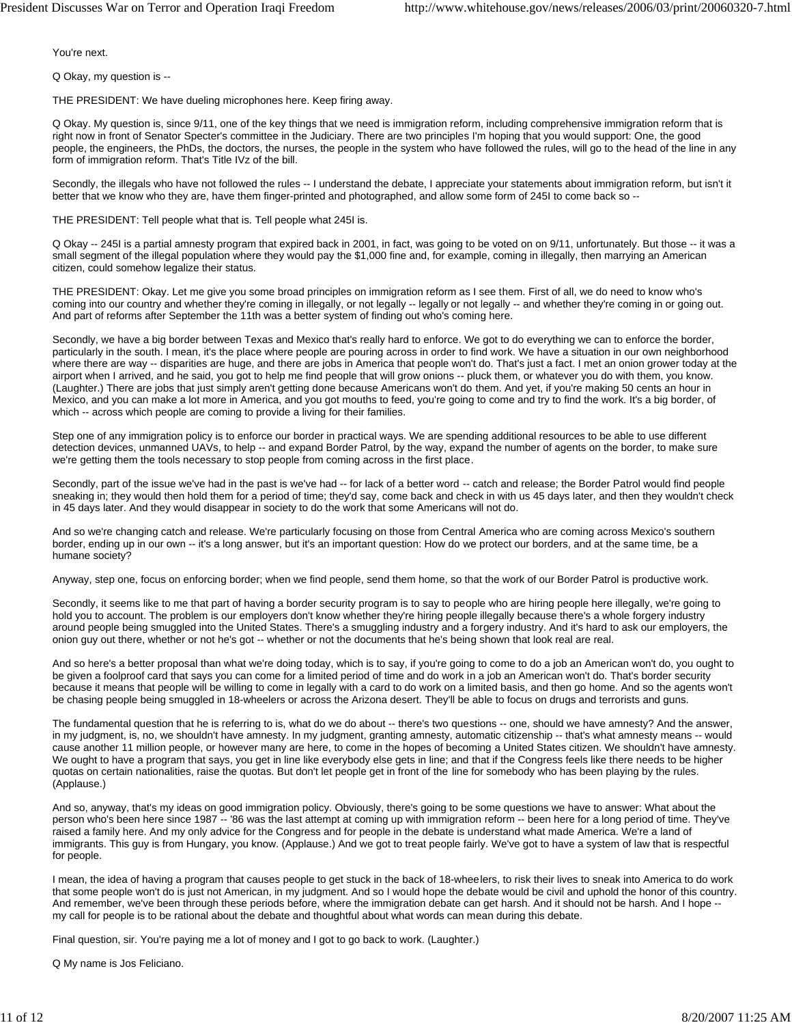You're next.

Q Okay, my question is --

THE PRESIDENT: We have dueling microphones here. Keep firing away.

Q Okay. My question is, since 9/11, one of the key things that we need is immigration reform, including comprehensive immigration reform that is right now in front of Senator Specter's committee in the Judiciary. There are two principles I'm hoping that you would support: One, the good people, the engineers, the PhDs, the doctors, the nurses, the people in the system who have followed the rules, will go to the head of the line in any form of immigration reform. That's Title IVz of the bill.

Secondly, the illegals who have not followed the rules -- I understand the debate, I appreciate your statements about immigration reform, but isn't it better that we know who they are, have them finger-printed and photographed, and allow some form of 245I to come back so --

THE PRESIDENT: Tell people what that is. Tell people what 245I is.

Q Okay -- 245I is a partial amnesty program that expired back in 2001, in fact, was going to be voted on on 9/11, unfortunately. But those -- it was a small segment of the illegal population where they would pay the \$1,000 fine and, for example, coming in illegally, then marrying an American citizen, could somehow legalize their status.

THE PRESIDENT: Okay. Let me give you some broad principles on immigration reform as I see them. First of all, we do need to know who's coming into our country and whether they're coming in illegally, or not legally -- legally or not legally -- and whether they're coming in or going out. And part of reforms after September the 11th was a better system of finding out who's coming here.

Secondly, we have a big border between Texas and Mexico that's really hard to enforce. We got to do everything we can to enforce the border, particularly in the south. I mean, it's the place where people are pouring across in order to find work. We have a situation in our own neighborhood where there are way -- disparities are huge, and there are jobs in America that people won't do. That's just a fact. I met an onion grower today at the airport when I arrived, and he said, you got to help me find people that will grow onions -- pluck them, or whatever you do with them, you know. (Laughter.) There are jobs that just simply aren't getting done because Americans won't do them. And yet, if you're making 50 cents an hour in Mexico, and you can make a lot more in America, and you got mouths to feed, you're going to come and try to find the work. It's a big border, of which -- across which people are coming to provide a living for their families.

Step one of any immigration policy is to enforce our border in practical ways. We are spending additional resources to be able to use different detection devices, unmanned UAVs, to help -- and expand Border Patrol, by the way, expand the number of agents on the border, to make sure we're getting them the tools necessary to stop people from coming across in the first place.

Secondly, part of the issue we've had in the past is we've had -- for lack of a better word -- catch and release; the Border Patrol would find people sneaking in; they would then hold them for a period of time; they'd say, come back and check in with us 45 days later, and then they wouldn't check in 45 days later. And they would disappear in society to do the work that some Americans will not do.

And so we're changing catch and release. We're particularly focusing on those from Central America who are coming across Mexico's southern border, ending up in our own -- it's a long answer, but it's an important question: How do we protect our borders, and at the same time, be a humane society?

Anyway, step one, focus on enforcing border; when we find people, send them home, so that the work of our Border Patrol is productive work.

Secondly, it seems like to me that part of having a border security program is to say to people who are hiring people here illegally, we're going to hold you to account. The problem is our employers don't know whether they're hiring people illegally because there's a whole forgery industry around people being smuggled into the United States. There's a smuggling industry and a forgery industry. And it's hard to ask our employers, the onion guy out there, whether or not he's got -- whether or not the documents that he's being shown that look real are real.

And so here's a better proposal than what we're doing today, which is to say, if you're going to come to do a job an American won't do, you ought to be given a foolproof card that says you can come for a limited period of time and do work in a job an American won't do. That's border security because it means that people will be willing to come in legally with a card to do work on a limited basis, and then go home. And so the agents won't be chasing people being smuggled in 18-wheelers or across the Arizona desert. They'll be able to focus on drugs and terrorists and guns.

The fundamental question that he is referring to is, what do we do about -- there's two questions -- one, should we have amnesty? And the answer, in my judgment, is, no, we shouldn't have amnesty. In my judgment, granting amnesty, automatic citizenship -- that's what amnesty means -- would cause another 11 million people, or however many are here, to come in the hopes of becoming a United States citizen. We shouldn't have amnesty. We ought to have a program that says, you get in line like everybody else gets in line; and that if the Congress feels like there needs to be higher quotas on certain nationalities, raise the quotas. But don't let people get in front of the line for somebody who has been playing by the rules. (Applause.)

And so, anyway, that's my ideas on good immigration policy. Obviously, there's going to be some questions we have to answer: What about the person who's been here since 1987 -- '86 was the last attempt at coming up with immigration reform -- been here for a long period of time. They've raised a family here. And my only advice for the Congress and for people in the debate is understand what made America. We're a land of immigrants. This guy is from Hungary, you know. (Applause.) And we got to treat people fairly. We've got to have a system of law that is respectful for people.

I mean, the idea of having a program that causes people to get stuck in the back of 18-wheelers, to risk their lives to sneak into America to do work that some people won't do is just not American, in my judgment. And so I would hope the debate would be civil and uphold the honor of this country. And remember, we've been through these periods before, where the immigration debate can get harsh. And it should not be harsh. And I hope -my call for people is to be rational about the debate and thoughtful about what words can mean during this debate.

Final question, sir. You're paying me a lot of money and I got to go back to work. (Laughter.)

Q My name is Jos Feliciano.